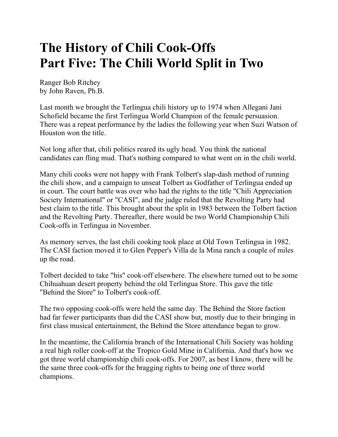# **The History of Chili Cook-Offs Part Five: The Chili World Split in Two**

Ranger Bob Ritchey by John Raven, Ph.B.

Last month we brought the Terlingua chili history up to 1974 when Allegani Jani Schofield became the first Terlingua World Champion of the female persuasion. There was a repeat performance by the ladies the following year when Suzi Watson of Houston won the title.

Not long after that, chili politics reared its ugly head. You think the national candidates can fling mud. That's nothing compared to what went on in the chili world.

Many chili cooks were not happy with Frank Tolbert's slap-dash method of running the chili show, and a campaign to unseat Tolbert as Godfather of Terlingua ended up in court. The court battle was over who had the rights to the title "Chili Appreciation Society International" or "CASI", and the judge ruled that the Revolting Party had best claim to the title. This brought about the split in 1983 between the Tolbert faction and the Revolting Party. Thereafter, there would be two World Championship Chili Cook-offs in Terlingua in November.

As memory serves, the last chili cooking took place at Old Town Terlingua in 1982. The CASI faction moved it to Glen Pepper's Villa de la Mina ranch a couple of miles up the road.

Tolbert decided to take "his" cook-off elsewhere. The elsewhere turned out to be some Chihuahuan desert property behind the old Terlingua Store. This gave the title "Behind the Store" to Tolbert's cook-off.

The two opposing cook-offs were held the same day. The Behind the Store faction had far fewer participants than did the CASI show but, mostly due to their bringing in first class musical entertainment, the Behind the Store attendance began to grow.

In the meantime, the California branch of the International Chili Society was holding a real high roller cook-off at the Tropico Gold Mine in California. And that's how we got three world championship chili cook-offs. For 2007, as best I know, there will be the same three cook-offs for the bragging rights to being one of three world champions.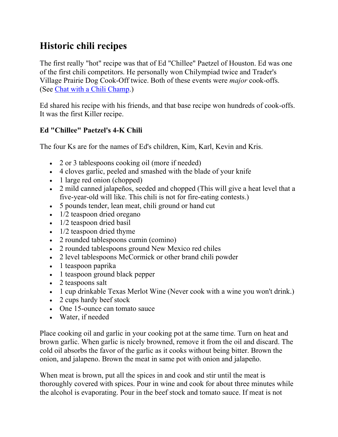## **Historic chili recipes**

The first really "hot" recipe was that of Ed "Chillee" Paetzel of Houston. Ed was one of the first chili competitors. He personally won Chilympiad twice and Trader's Village Prairie Dog Cook-Off twice. Both of these events were *major* cook-offs. (See Chat with a Chili Champ.)

Ed shared his recipe with his friends, and that base recipe won hundreds of cook-offs. It was the first Killer recipe.

#### **Ed "Chillee" Paetzel's 4-K Chili**

The four Ks are for the names of Ed's children, Kim, Karl, Kevin and Kris.

- 2 or 3 tablespoons cooking oil (more if needed)
- 4 cloves garlic, peeled and smashed with the blade of your knife
- 1 large red onion (chopped)
- 2 mild canned jalapeños, seeded and chopped (This will give a heat level that a five-year-old will like. This chili is not for fire-eating contests.)
- 5 pounds tender, lean meat, chili ground or hand cut
- $\cdot$  1/2 teaspoon dried oregano
- $\bullet$  1/2 teaspoon dried basil
- $\bullet$  1/2 teaspoon dried thyme
- 2 rounded tablespoons cumin (comino)
- 2 rounded tablespoons ground New Mexico red chiles
- 2 level tablespoons McCormick or other brand chili powder
- 1 teaspoon paprika
- 1 teaspoon ground black pepper
- 2 teaspoons salt
- 1 cup drinkable Texas Merlot Wine (Never cook with a wine you won't drink.)
- 2 cups hardy beef stock
- One 15-ounce can tomato sauce
- Water, if needed

Place cooking oil and garlic in your cooking pot at the same time. Turn on heat and brown garlic. When garlic is nicely browned, remove it from the oil and discard. The cold oil absorbs the favor of the garlic as it cooks without being bitter. Brown the onion, and jalapeno. Brown the meat in same pot with onion and jalapeño.

When meat is brown, put all the spices in and cook and stir until the meat is thoroughly covered with spices. Pour in wine and cook for about three minutes while the alcohol is evaporating. Pour in the beef stock and tomato sauce. If meat is not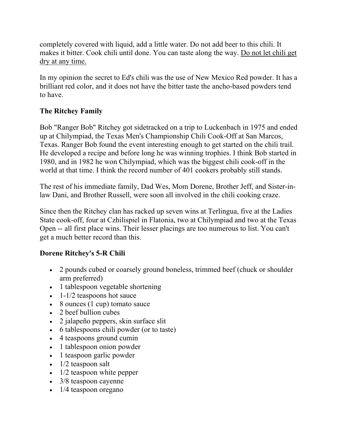completely covered with liquid, add a little water. Do not add beer to this chili. It makes it bitter. Cook chili until done. You can taste along the way. Do not let chili get dry at any time.

In my opinion the secret to Ed's chili was the use of New Mexico Red powder. It has a brilliant red color, and it does not have the bitter taste the ancho-based powders tend to have.

#### **The Ritchey Family**

Bob "Ranger Bob" Ritchey got sidetracked on a trip to Luckenbach in 1975 and ended up at Chilympiad, the Texas Men's Championship Chili Cook-Off at San Marcos, Texas. Ranger Bob found the event interesting enough to get started on the chili trail. He developed a recipe and before long he was winning trophies. I think Bob started in 1980, and in 1982 he won Chilympiad, which was the biggest chili cook-off in the world at that time. I think the record number of 401 cookers probably still stands.

The rest of his immediate family, Dad Wes, Mom Dorene, Brother Jeff, and Sister-inlaw Dani, and Brother Russell, were soon all involved in the chili cooking craze.

Since then the Ritchey clan has racked up seven wins at Terlingua, five at the Ladies State cook-off, four at Czhilispiel in Flatonia, two at Chilympiad and two at the Texas Open -- all first place wins. Their lesser placings are too numerous to list. You can't get a much better record than this.

### **Dorene Ritchey's 5-R Chili**

- 2 pounds cubed or coarsely ground boneless, trimmed beef (chuck or shoulder arm preferred)
- 1 tablespoon vegetable shortening
- $\bullet$  1-1/2 teaspoons hot sauce
- $\bullet$  8 ounces (1 cup) tomato sauce
- 2 beef bullion cubes
- 2 jalapeño peppers, skin surface slit
- 6 tablespoons chili powder (or to taste)
- 4 teaspoons ground cumin
- 1 tablespoon onion powder
- 1 teaspoon garlic powder
- $\bullet$  1/2 teaspoon salt
- $\bullet$  1/2 teaspoon white pepper
- 3/8 teaspoon cayenne
- 1/4 teaspoon oregano